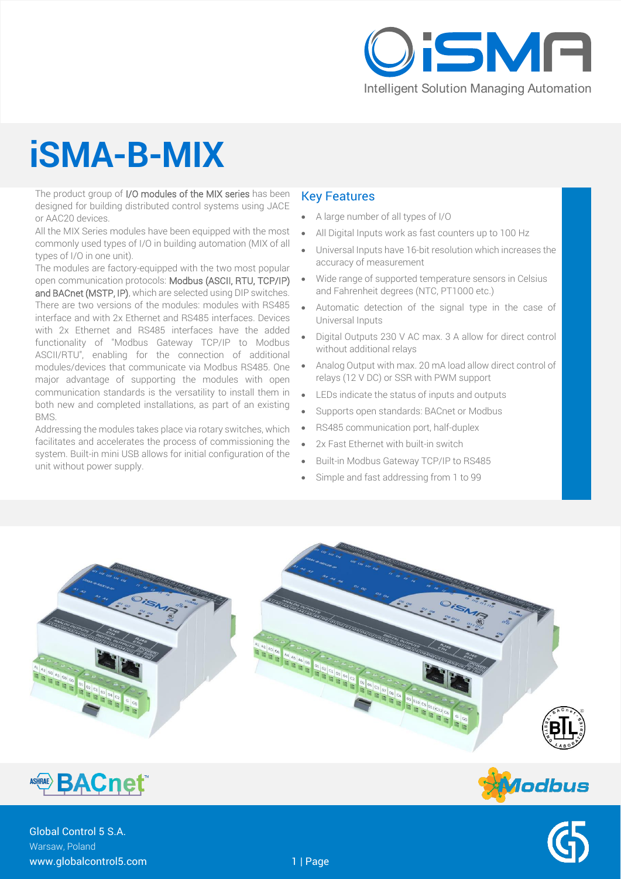

# **iSMA-B-MIX**

The product group of I/O modules of the MIX series has been designed for building distributed control systems using JACE or AAC20 devices.

All the MIX Series modules have been equipped with the most commonly used types of I/O in building automation (MIX of all types of I/O in one unit).

The modules are factory-equipped with the two most popular open communication protocols: Modbus (ASCII, RTU, TCP/IP) and BACnet (MSTP, IP), which are selected using DIP switches. There are two versions of the modules: modules with RS485 interface and with 2x Ethernet and RS485 interfaces. Devices with 2x Ethernet and RS485 interfaces have the added functionality of "Modbus Gateway TCP/IP to Modbus ASCII/RTU", enabling for the connection of additional modules/devices that communicate via Modbus RS485. One major advantage of supporting the modules with open

communication standards is the versatility to install them in both new and completed installations, as part of an existing BMS.

Addressing the modules takes place via rotary switches, which facilitates and accelerates the process of commissioning the system. Built-in mini USB allows for initial configuration of the unit without power supply.

#### Key Features

- A large number of all types of I/O
- All Digital Inputs work as fast counters up to 100 Hz
- Universal Inputs have 16-bit resolution which increases the accuracy of measurement
- Wide range of supported temperature sensors in Celsius and Fahrenheit degrees (NTC, PT1000 etc.)
- Automatic detection of the signal type in the case of Universal Inputs
- Digital Outputs 230 V AC max. 3 A allow for direct control without additional relays
- Analog Output with max. 20 mA load allow direct control of relays (12 V DC) or SSR with PWM support
- LEDs indicate the status of inputs and outputs
- Supports open standards: BACnet or Modbus
- RS485 communication port, half-duplex
- 2x Fast Ethernet with built-in switch
- Built-in Modbus Gateway TCP/IP to RS485
- Simple and fast addressing from 1 to 99





Global Control 5 S.A. Warsaw, Poland www.globalcontrol5.com 1 | Page